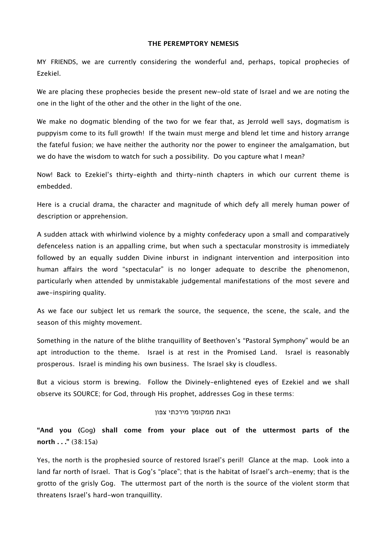### **THE PEREMPTORY NEMESIS**

MY FRIENDS, we are currently considering the wonderful and, perhaps, topical prophecies of Ezekiel.

We are placing these prophecies beside the present new-old state of Israel and we are noting the one in the light of the other and the other in the light of the one.

We make no dogmatic blending of the two for we fear that, as Jerrold well says, dogmatism is puppyism come to its full growth! If the twain must merge and blend let time and history arrange the fateful fusion; we have neither the authority nor the power to engineer the amalgamation, but we do have the wisdom to watch for such a possibility. Do you capture what I mean?

Now! Back to Ezekiel's thirty-eighth and thirty-ninth chapters in which our current theme is embedded.

Here is a crucial drama, the character and magnitude of which defy all merely human power of description or apprehension.

A sudden attack with whirlwind violence by a mighty confederacy upon a small and comparatively defenceless nation is an appalling crime, but when such a spectacular monstrosity is immediately followed by an equally sudden Divine inburst in indignant intervention and interposition into human afairs the word "spectacular" is no longer adequate to describe the phenomenon, particularly when attended by unmistakable judgemental manifestations of the most severe and awe-inspiring quality.

As we face our subject let us remark the source, the sequence, the scene, the scale, and the season of this mighty movement.

Something in the nature of the blithe tranquillity of Beethoven's "Pastoral Symphony" would be an apt introduction to the theme. Israel is at rest in the Promised Land. Israel is reasonably prosperous. Israel is minding his own business. The Israel sky is cloudless.

But a vicious storm is brewing. Follow the Divinely-enlightened eyes of Ezekiel and we shall observe its SOURCE; for God, through His prophet, addresses Gog in these terms:

#### ובאת ממקומך מירכתי צפון

# **"And you (**Gog**) shall come from your place out of the uttermost parts of the north . . ."** (38:15a)

Yes, the north is the prophesied source of restored Israel's peril! Glance at the map. Look into a land far north of Israel. That is Gog's "place"; that is the habitat of Israel's arch-enemy; that is the grotto of the grisly Gog. The uttermost part of the north is the source of the violent storm that threatens Israel's hard-won tranquillity.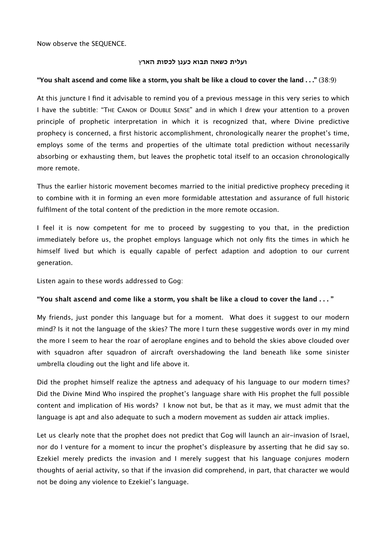Now observe the SEQUENCE.

### **ועלית כשאה תבוא כענן לכסות האר**ץ

## **"You shalt ascend and come like a storm, you shalt be like a cloud to cover the land . . ."** (38:9)

At this juncture I find it advisable to remind you of a previous message in this very series to which I have the subtitle: "THE CANON OF DOUBLE SENSE" and in which I drew your attention to a proven principle of prophetic interpretation in which it is recognized that, where Divine predictive prophecy is concerned, a first historic accomplishment, chronologically nearer the prophet's time, employs some of the terms and properties of the ultimate total prediction without necessarily absorbing or exhausting them, but leaves the prophetic total itself to an occasion chronologically more remote.

Thus the earlier historic movement becomes married to the initial predictive prophecy preceding it to combine with it in forming an even more formidable attestation and assurance of full historic fulfilment of the total content of the prediction in the more remote occasion.

I feel it is now competent for me to proceed by suggesting to you that, in the prediction immediately before us, the prophet employs language which not only fits the times in which he himself lived but which is equally capable of perfect adaption and adoption to our current generation.

Listen again to these words addressed to Gog:

### **"You shalt ascend and come like a storm, you shalt be like a cloud to cover the land . . . "**

My friends, just ponder this language but for a moment. What does it suggest to our modern mind? Is it not the language of the skies? The more I turn these suggestive words over in my mind the more I seem to hear the roar of aeroplane engines and to behold the skies above clouded over with squadron after squadron of aircraft overshadowing the land beneath like some sinister umbrella clouding out the light and life above it.

Did the prophet himself realize the aptness and adequacy of his language to our modern times? Did the Divine Mind Who inspired the prophet's language share with His prophet the full possible content and implication of His words? I know not but, be that as it may, we must admit that the language is apt and also adequate to such a modern movement as sudden air attack implies.

Let us clearly note that the prophet does not predict that Gog will launch an air-invasion of Israel, nor do I venture for a moment to incur the prophet's displeasure by asserting that he did say so. Ezekiel merely predicts the invasion and I merely suggest that his language conjures modern thoughts of aerial activity, so that if the invasion did comprehend, in part, that character we would not be doing any violence to Ezekiel's language.